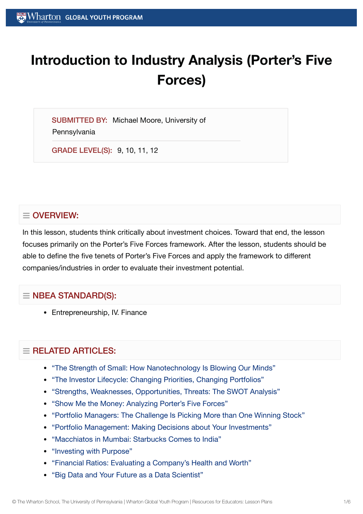# **Introduction to Industry Analysis (Porter's Five Forces)**

SUBMITTED BY: Michael Moore, University of **Pennsylvania** 

GRADE LEVEL(S): 9, 10, 11, 12

# $\equiv$  OVERVIEW:

In this lesson, students think critically about investment choices. Toward that end, the lesson focuses primarily on the Porter's Five Forces framework. After the lesson, students should be able to define the five tenets of Porter's Five Forces and apply the framework to different companies/industries in order to evaluate their investment potential.

# $\equiv$  NBEA STANDARD(S):

• Entrepreneurship, IV. Finance

# $\equiv$  RELATED ARTICLES:

- "The Strength of Small: How [Nanotechnology Is Blowing](https://globalyouth.wharton.upenn.edu/articles/the-strength-of-small-how-nanotechnology-is-blowing-our-minds/) Our Minds"
- "The Investor Lifecycle: Changing Priorities, Changing [Portfolios"](https://globalyouth.wharton.upenn.edu/articles/the-investor-lifecycle-changing-priorities-changing-portfolios/)
- "Strengths, Weaknesses, [Opportunities,](https://globalyouth.wharton.upenn.edu/articles/strengths-weaknesses-opportunities-threats-the-swot-analysis/) Threats: The SWOT Analysis"
- "Show Me the Money: Analyzing [Porter's Five](https://globalyouth.wharton.upenn.edu/articles/show-me-the-money-analyzing-porters-five-forces/) Forces"
- "Portfolio [Managers:](https://globalyouth.wharton.upenn.edu/articles/portfolio-managers-the-challenge-is-making-more-than-one-winning-stock-pick/) The Challenge Is Picking More than One Winning Stock"
- "Portfolio Management: Making [Decisions about](https://globalyouth.wharton.upenn.edu/articles/portfolio-management-making-decisions-about-your-investments/) Your Investments"
- "Macchiatos in Mumbai: [Starbucks Comes to](https://globalyouth.wharton.upenn.edu/articles/macchiatos-in-mumbai-starbucks-comes-to-india/) India"
- ["Investing](https://globalyouth.wharton.upenn.edu/articles/investing-with-purpose/) with Purpose"
- "Financial Ratios: Evaluating a [Company's Health](https://globalyouth.wharton.upenn.edu/articles/financial-ratios-evaluating-a-companys-health-and-worth/) and Worth"
- "Big Data and Your Future as a Data [Scientist"](https://globalyouth.wharton.upenn.edu/articles/your-future-as-a-data/)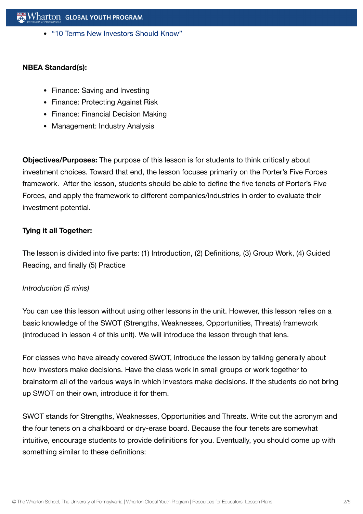"10 Terms New [Investors Should](https://globalyouth.wharton.upenn.edu/articles/the-top-10-terms-every-new-investor-should-know/) Know"

#### **NBEA Standard(s):**

- Finance: Saving and Investing
- Finance: Protecting Against Risk
- Finance: Financial Decision Making
- Management: Industry Analysis

**Objectives/Purposes:** The purpose of this lesson is for students to think critically about investment choices. Toward that end, the lesson focuses primarily on the Porter's Five Forces framework. After the lesson, students should be able to define the five tenets of Porter's Five Forces, and apply the framework to different companies/industries in order to evaluate their investment potential.

## **Tying it all Together:**

The lesson is divided into five parts: (1) Introduction, (2) Definitions, (3) Group Work, (4) Guided Reading, and finally (5) Practice

#### *Introduction (5 mins)*

You can use this lesson without using other lessons in the unit. However, this lesson relies on a basic knowledge of the SWOT (Strengths, Weaknesses, Opportunities, Threats) framework (introduced in lesson 4 of this unit). We will introduce the lesson through that lens.

For classes who have already covered SWOT, introduce the lesson by talking generally about how investors make decisions. Have the class work in small groups or work together to brainstorm all of the various ways in which investors make decisions. If the students do not bring up SWOT on their own, introduce it for them.

SWOT stands for Strengths, Weaknesses, Opportunities and Threats. Write out the acronym and the four tenets on a chalkboard or dry-erase board. Because the four tenets are somewhat intuitive, encourage students to provide definitions for you. Eventually, you should come up with something similar to these definitions: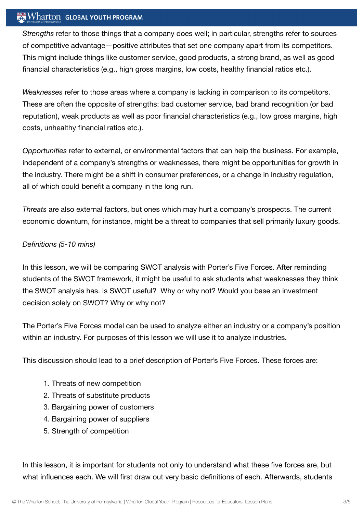## Wharton GLOBAL YOUTH PROGRAM

*Strengths* refer to those things that a company does well; in particular, strengths refer to sources of competitive advantage—positive attributes that set one company apart from its competitors. This might include things like customer service, good products, a strong brand, as well as good financial characteristics (e.g., high gross margins, low costs, healthy financial ratios etc.).

*Weaknesses* refer to those areas where a company is lacking in comparison to its competitors. These are often the opposite of strengths: bad customer service, bad brand recognition (or bad reputation), weak products as well as poor financial characteristics (e.g., low gross margins, high costs, unhealthy financial ratios etc.).

*Opportunities* refer to external, or environmental factors that can help the business. For example, independent of a company's strengths or weaknesses, there might be opportunities for growth in the industry. There might be a shift in consumer preferences, or a change in industry regulation, all of which could benefit a company in the long run.

*Threats* are also external factors, but ones which may hurt a company's prospects. The current economic downturn, for instance, might be a threat to companies that sell primarily luxury goods.

## *Definitions (5-10 mins)*

In this lesson, we will be comparing SWOT analysis with Porter's Five Forces. After reminding students of the SWOT framework, it might be useful to ask students what weaknesses they think the SWOT analysis has. Is SWOT useful? Why or why not? Would you base an investment decision solely on SWOT? Why or why not?

The Porter's Five Forces model can be used to analyze either an industry or a company's position within an industry. For purposes of this lesson we will use it to analyze industries.

This discussion should lead to a brief description of Porter's Five Forces. These forces are:

- 1. Threats of new competition
- 2. Threats of substitute products
- 3. Bargaining power of customers
- 4. Bargaining power of suppliers
- 5. Strength of competition

In this lesson, it is important for students not only to understand what these five forces are, but what influences each. We will first draw out very basic definitions of each. Afterwards, students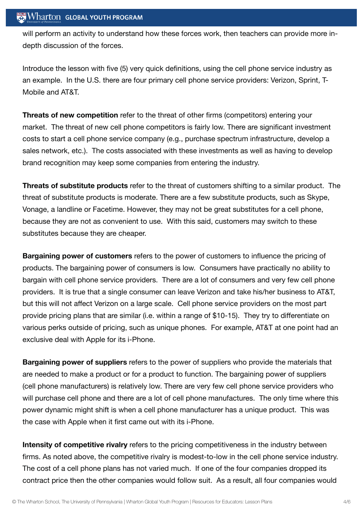will perform an activity to understand how these forces work, then teachers can provide more indepth discussion of the forces.

Introduce the lesson with five (5) very quick definitions, using the cell phone service industry as an example. In the U.S. there are four primary cell phone service providers: Verizon, Sprint, T-Mobile and AT&T.

**Threats of new competition** refer to the threat of other firms (competitors) entering your market. The threat of new cell phone competitors is fairly low. There are significant investment costs to start a cell phone service company (e.g., purchase spectrum infrastructure, develop a sales network, etc.). The costs associated with these investments as well as having to develop brand recognition may keep some companies from entering the industry.

**Threats of substitute products** refer to the threat of customers shifting to a similar product. The threat of substitute products is moderate. There are a few substitute products, such as Skype, Vonage, a landline or Facetime. However, they may not be great substitutes for a cell phone, because they are not as convenient to use. With this said, customers may switch to these substitutes because they are cheaper.

**Bargaining power of customers** refers to the power of customers to influence the pricing of products. The bargaining power of consumers is low. Consumers have practically no ability to bargain with cell phone service providers. There are a lot of consumers and very few cell phone providers. It is true that a single consumer can leave Verizon and take his/her business to AT&T, but this will not affect Verizon on a large scale. Cell phone service providers on the most part provide pricing plans that are similar (i.e. within a range of \$10-15). They try to differentiate on various perks outside of pricing, such as unique phones. For example, AT&T at one point had an exclusive deal with Apple for its i-Phone.

**Bargaining power of suppliers** refers to the power of suppliers who provide the materials that are needed to make a product or for a product to function. The bargaining power of suppliers (cell phone manufacturers) is relatively low. There are very few cell phone service providers who will purchase cell phone and there are a lot of cell phone manufactures. The only time where this power dynamic might shift is when a cell phone manufacturer has a unique product. This was the case with Apple when it first came out with its i-Phone.

**Intensity of competitive rivalry** refers to the pricing competitiveness in the industry between firms. As noted above, the competitive rivalry is modest-to-low in the cell phone service industry. The cost of a cell phone plans has not varied much. If one of the four companies dropped its contract price then the other companies would follow suit. As a result, all four companies would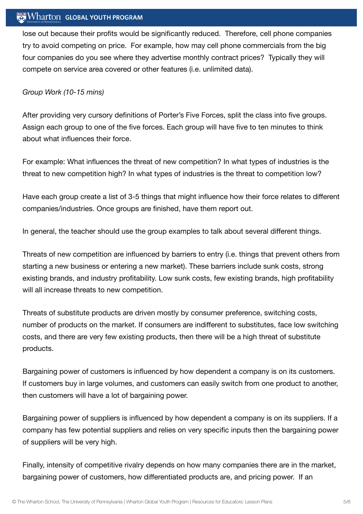## $\mathbb{R}$  Wharton Global youth program

lose out because their profits would be significantly reduced. Therefore, cell phone companies try to avoid competing on price. For example, how may cell phone commercials from the big four companies do you see where they advertise monthly contract prices? Typically they will compete on service area covered or other features (i.e. unlimited data).

#### *Group Work (10-15 mins)*

After providing very cursory definitions of Porter's Five Forces, split the class into five groups. Assign each group to one of the five forces. Each group will have five to ten minutes to think about what influences their force.

For example: What influences the threat of new competition? In what types of industries is the threat to new competition high? In what types of industries is the threat to competition low?

Have each group create a list of 3-5 things that might influence how their force relates to different companies/industries. Once groups are finished, have them report out.

In general, the teacher should use the group examples to talk about several different things.

Threats of new competition are influenced by barriers to entry (i.e. things that prevent others from starting a new business or entering a new market). These barriers include sunk costs, strong existing brands, and industry profitability. Low sunk costs, few existing brands, high profitability will all increase threats to new competition.

Threats of substitute products are driven mostly by consumer preference, switching costs, number of products on the market. If consumers are indifferent to substitutes, face low switching costs, and there are very few existing products, then there will be a high threat of substitute products.

Bargaining power of customers is influenced by how dependent a company is on its customers. If customers buy in large volumes, and customers can easily switch from one product to another, then customers will have a lot of bargaining power.

Bargaining power of suppliers is influenced by how dependent a company is on its suppliers. If a company has few potential suppliers and relies on very specific inputs then the bargaining power of suppliers will be very high.

Finally, intensity of competitive rivalry depends on how many companies there are in the market, bargaining power of customers, how differentiated products are, and pricing power. If an